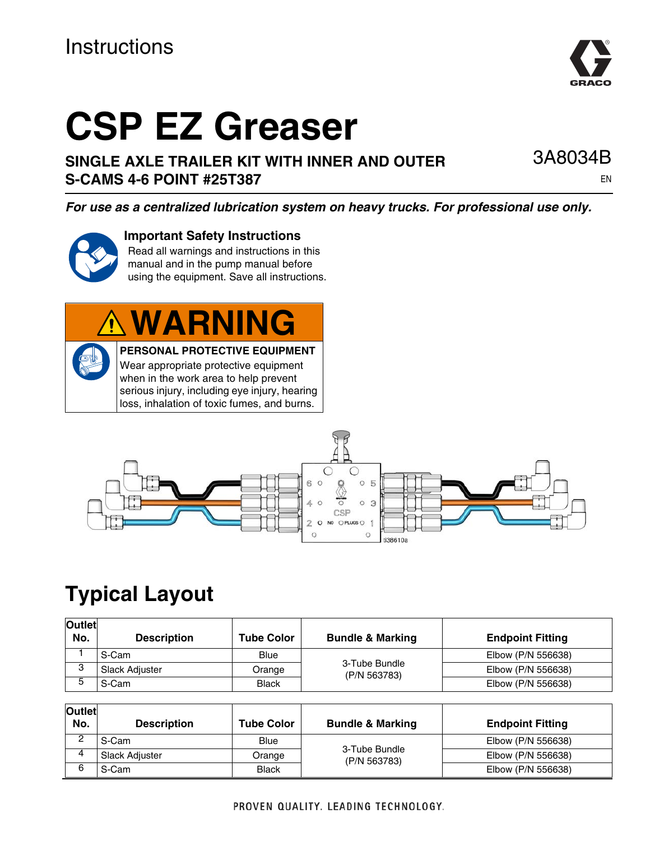# **CSP EZ Greaser**

**SINGLE AXLE TRAILER KIT WITH INNER AND OUTER S-CAMS 4-6 POINT #25T387**

*For use as a centralized lubrication system on heavy trucks. For professional use only.*



#### **Important Safety Instructions**

Read all warnings and instructions in this manual and in the pump manual before using the equipment. Save all instructions.

# **WARNING**

**PERSONAL PROTECTIVE EQUIPMENT** Wear appropriate protective equipment when in the work area to help prevent serious injury, including eye injury, hearing loss, inhalation of toxic fumes, and burns.



# **Typical Layout**

| <b>Outlet</b><br>No. | <b>Description</b>    | <b>Tube Color</b> | <b>Bundle &amp; Marking</b>   | <b>Endpoint Fitting</b> |
|----------------------|-----------------------|-------------------|-------------------------------|-------------------------|
|                      | S-Cam                 | Blue              | 3-Tube Bundle<br>(P/N 563783) | Elbow (P/N 556638)      |
|                      | <b>Slack Adjuster</b> | Orange            |                               | Elbow (P/N 556638)      |
|                      | S-Cam                 | <b>Black</b>      |                               | Elbow (P/N 556638)      |

| Outlet<br>No. | <b>Description</b>    | <b>Tube Color</b> | <b>Bundle &amp; Marking</b>   | <b>Endpoint Fitting</b> |
|---------------|-----------------------|-------------------|-------------------------------|-------------------------|
|               | S-Cam                 | <b>Blue</b>       | 3-Tube Bundle<br>(P/N 563783) | Elbow (P/N 556638)      |
| $\Lambda$     | <b>Slack Adiuster</b> | Orange            |                               | Elbow (P/N 556638)      |
| 6             | S-Cam                 | <b>Black</b>      |                               | Elbow (P/N 556638)      |

EN